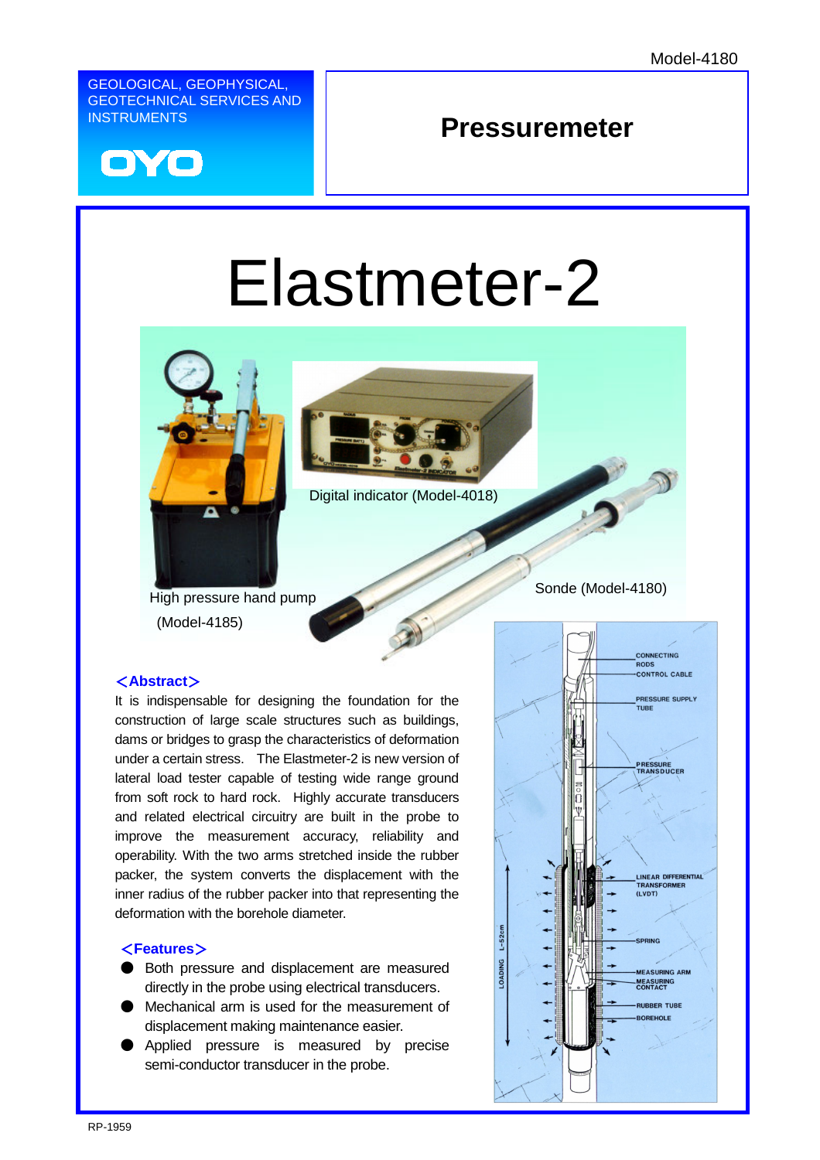GEOLOGICAL, GEOPHYSICAL, GEOTECHNICAL SERVICES AND INSTRUMENTS



# **Pressuremeter**

# Elastmeter-2





Digital indicator (Model-4018)

High pressure hand pump Sonde (Model-4180) (Model-4185)

#### <**Abstract**>

It is indispensable for designing the foundation for the construction of large scale structures such as buildings, dams or bridges to grasp the characteristics of deformation under a certain stress. The Elastmeter-2 is new version of lateral load tester capable of testing wide range ground from soft rock to hard rock. Highly accurate transducers and related electrical circuitry are built in the probe to improve the measurement accuracy, reliability and operability. With the two arms stretched inside the rubber packer, the system converts the displacement with the inner radius of the rubber packer into that representing the deformation with the borehole diameter.

#### <**Features**>

- Both pressure and displacement are measured directly in the probe using electrical transducers.
- Mechanical arm is used for the measurement of displacement making maintenance easier.
- Applied pressure is measured by precise semi-conductor transducer in the probe.